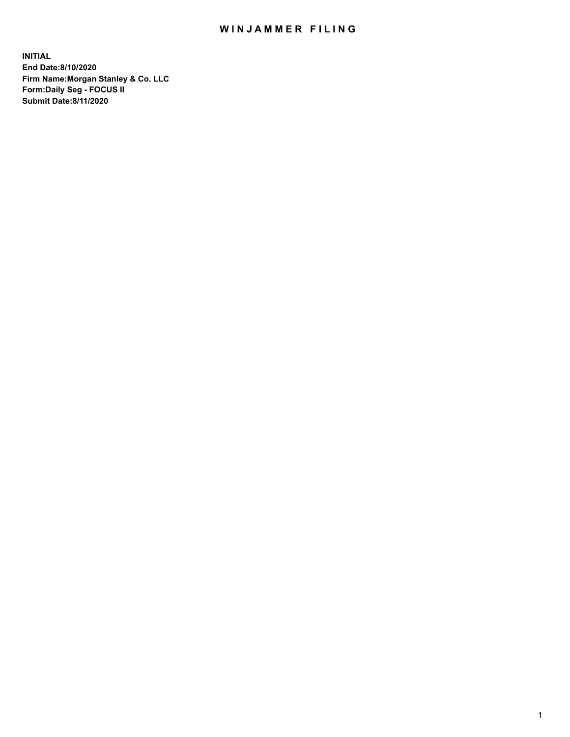## WIN JAMMER FILING

**INITIAL End Date:8/10/2020 Firm Name:Morgan Stanley & Co. LLC Form:Daily Seg - FOCUS II Submit Date:8/11/2020**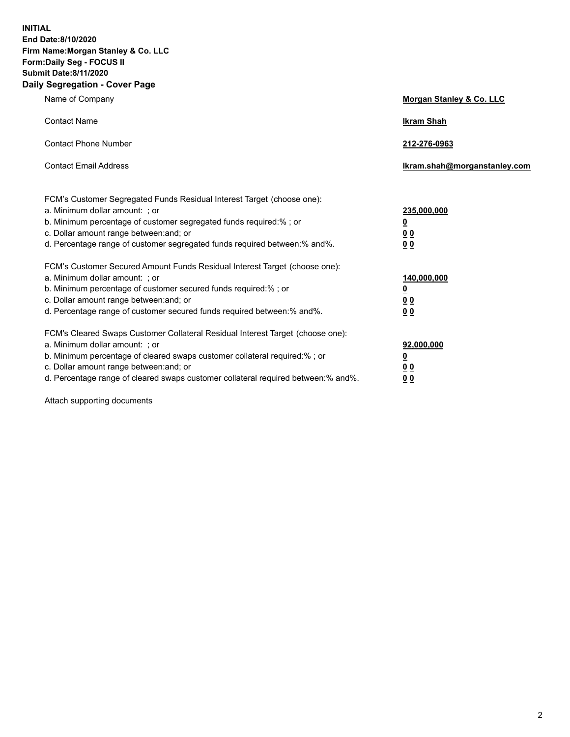**INITIAL End Date:8/10/2020 Firm Name:Morgan Stanley & Co. LLC Form:Daily Seg - FOCUS II Submit Date:8/11/2020 Daily Segregation - Cover Page**

| Name of Company                                                                                                                                                                                                                                                                                                                | Morgan Stanley & Co. LLC                               |
|--------------------------------------------------------------------------------------------------------------------------------------------------------------------------------------------------------------------------------------------------------------------------------------------------------------------------------|--------------------------------------------------------|
| <b>Contact Name</b>                                                                                                                                                                                                                                                                                                            | <b>Ikram Shah</b>                                      |
| <b>Contact Phone Number</b>                                                                                                                                                                                                                                                                                                    | 212-276-0963                                           |
| <b>Contact Email Address</b>                                                                                                                                                                                                                                                                                                   | Ikram.shah@morganstanley.com                           |
| FCM's Customer Segregated Funds Residual Interest Target (choose one):<br>a. Minimum dollar amount: ; or<br>b. Minimum percentage of customer segregated funds required:% ; or<br>c. Dollar amount range between: and; or<br>d. Percentage range of customer segregated funds required between: % and %.                       | 235,000,000<br><u>0</u><br>00<br>0 <sub>0</sub>        |
| FCM's Customer Secured Amount Funds Residual Interest Target (choose one):<br>a. Minimum dollar amount: ; or<br>b. Minimum percentage of customer secured funds required:% ; or<br>c. Dollar amount range between: and; or<br>d. Percentage range of customer secured funds required between:% and%.                           | 140,000,000<br><u>0</u><br><u>00</u><br>0 <sub>0</sub> |
| FCM's Cleared Swaps Customer Collateral Residual Interest Target (choose one):<br>a. Minimum dollar amount: ; or<br>b. Minimum percentage of cleared swaps customer collateral required:% ; or<br>c. Dollar amount range between: and; or<br>d. Percentage range of cleared swaps customer collateral required between:% and%. | 92,000,000<br><u>0</u><br><u>00</u><br>00              |

Attach supporting documents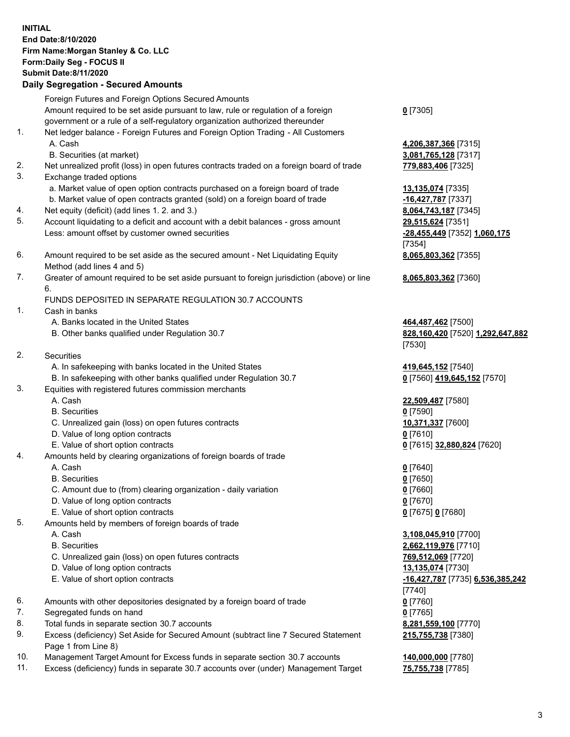|    | <b>INITIAL</b><br>End Date:8/10/2020<br>Firm Name: Morgan Stanley & Co. LLC<br>Form: Daily Seg - FOCUS II<br><b>Submit Date:8/11/2020</b><br><b>Daily Segregation - Secured Amounts</b> |                                                        |
|----|-----------------------------------------------------------------------------------------------------------------------------------------------------------------------------------------|--------------------------------------------------------|
|    | Foreign Futures and Foreign Options Secured Amounts                                                                                                                                     |                                                        |
|    | Amount required to be set aside pursuant to law, rule or regulation of a foreign                                                                                                        | $0$ [7305]                                             |
|    | government or a rule of a self-regulatory organization authorized thereunder                                                                                                            |                                                        |
| 1. | Net ledger balance - Foreign Futures and Foreign Option Trading - All Customers                                                                                                         |                                                        |
|    | A. Cash<br>B. Securities (at market)                                                                                                                                                    | 4,206,387,366 [7315]<br>3,081,765,128 [7317]           |
| 2. | Net unrealized profit (loss) in open futures contracts traded on a foreign board of trade                                                                                               | 779,883,406 [7325]                                     |
| 3. | Exchange traded options                                                                                                                                                                 |                                                        |
|    | a. Market value of open option contracts purchased on a foreign board of trade                                                                                                          | 13,135,074 [7335]                                      |
|    | b. Market value of open contracts granted (sold) on a foreign board of trade                                                                                                            | $-16,427,787$ [7337]                                   |
| 4. | Net equity (deficit) (add lines 1.2. and 3.)                                                                                                                                            | 8,064,743,187 [7345]                                   |
| 5. | Account liquidating to a deficit and account with a debit balances - gross amount                                                                                                       | 29,515,624 [7351]                                      |
|    | Less: amount offset by customer owned securities                                                                                                                                        | -28,455,449 [7352] 1,060,175<br>[7354]                 |
| 6. | Amount required to be set aside as the secured amount - Net Liquidating Equity                                                                                                          | 8,065,803,362 [7355]                                   |
|    | Method (add lines 4 and 5)                                                                                                                                                              |                                                        |
| 7. | Greater of amount required to be set aside pursuant to foreign jurisdiction (above) or line                                                                                             | 8,065,803,362 [7360]                                   |
|    | 6.                                                                                                                                                                                      |                                                        |
|    | FUNDS DEPOSITED IN SEPARATE REGULATION 30.7 ACCOUNTS                                                                                                                                    |                                                        |
| 1. | Cash in banks                                                                                                                                                                           |                                                        |
|    | A. Banks located in the United States<br>B. Other banks qualified under Regulation 30.7                                                                                                 | 464,487,462 [7500]<br>828,160,420 [7520] 1,292,647,882 |
|    |                                                                                                                                                                                         | [7530]                                                 |
| 2. | Securities                                                                                                                                                                              |                                                        |
|    | A. In safekeeping with banks located in the United States                                                                                                                               | 419,645,152 <sub>[7540]</sub>                          |
|    | B. In safekeeping with other banks qualified under Regulation 30.7                                                                                                                      | 0 [7560] 419,645,152 [7570]                            |
| 3. | Equities with registered futures commission merchants                                                                                                                                   |                                                        |
|    | A. Cash<br><b>B.</b> Securities                                                                                                                                                         | 22,509,487 [7580]<br>$0$ [7590]                        |
|    | C. Unrealized gain (loss) on open futures contracts                                                                                                                                     | 10,371,337 [7600]                                      |
|    | D. Value of long option contracts                                                                                                                                                       | $0$ [7610]                                             |
|    | E. Value of short option contracts                                                                                                                                                      | 0 [7615] 32,880,824 [7620]                             |
| 4. | Amounts held by clearing organizations of foreign boards of trade                                                                                                                       |                                                        |
|    | A. Cash                                                                                                                                                                                 | $0$ [7640]                                             |
|    | <b>B.</b> Securities                                                                                                                                                                    | $0$ [7650]                                             |
|    | C. Amount due to (from) clearing organization - daily variation<br>D. Value of long option contracts                                                                                    | $0$ [7660]<br>$0$ [7670]                               |
|    | E. Value of short option contracts                                                                                                                                                      | 0 [7675] 0 [7680]                                      |
| 5. | Amounts held by members of foreign boards of trade                                                                                                                                      |                                                        |
|    | A. Cash                                                                                                                                                                                 | 3,108,045,910 [7700]                                   |
|    | <b>B.</b> Securities                                                                                                                                                                    | 2,662,119,976 [7710]                                   |
|    | C. Unrealized gain (loss) on open futures contracts                                                                                                                                     | 769,512,069 [7720]                                     |
|    | D. Value of long option contracts                                                                                                                                                       | 13,135,074 [7730]                                      |
|    | E. Value of short option contracts                                                                                                                                                      | -16,427,787 [7735] 6,536,385,242                       |
| 6. | Amounts with other depositories designated by a foreign board of trade                                                                                                                  | [7740]<br>$0$ [7760]                                   |
| 7. | Segregated funds on hand                                                                                                                                                                | $0$ [7765]                                             |
| 8. | Total funds in separate section 30.7 accounts                                                                                                                                           | 8,281,559,100 [7770]                                   |
| 9. | Excess (deficiency) Set Aside for Secured Amount (subtract line 7 Secured Statement                                                                                                     | 215,755,738 [7380]                                     |
|    | Page 1 from Line 8)                                                                                                                                                                     |                                                        |

- 10. Management Target Amount for Excess funds in separate section 30.7 accounts **140,000,000** [7780]
- 11. Excess (deficiency) funds in separate 30.7 accounts over (under) Management Target **75,755,738** [7785]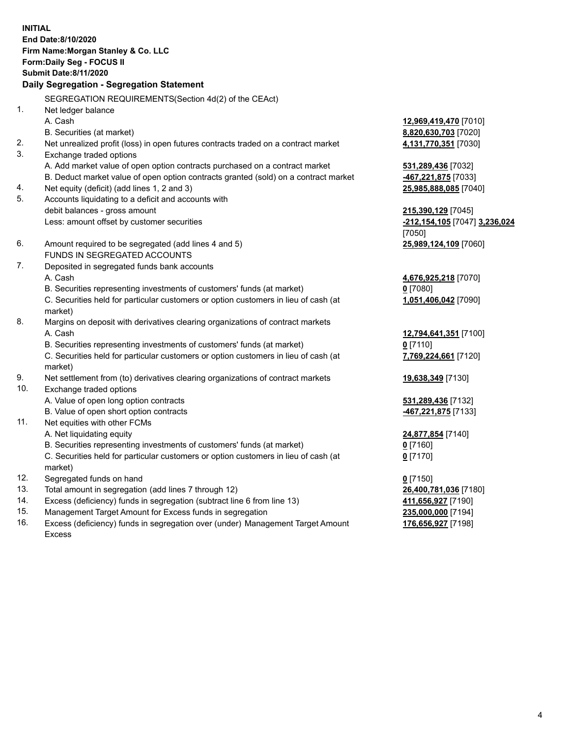**INITIAL End Date:8/10/2020 Firm Name:Morgan Stanley & Co. LLC Form:Daily Seg - FOCUS II Submit Date:8/11/2020 Daily Segregation - Segregation Statement** SEGREGATION REQUIREMENTS(Section 4d(2) of the CEAct) 1. Net ledger balance A. Cash **12,969,419,470** [7010] B. Securities (at market) **8,820,630,703** [7020] 2. Net unrealized profit (loss) in open futures contracts traded on a contract market **4,131,770,351** [7030] 3. Exchange traded options A. Add market value of open option contracts purchased on a contract market **531,289,436** [7032] B. Deduct market value of open option contracts granted (sold) on a contract market **-467,221,875** [7033] 4. Net equity (deficit) (add lines 1, 2 and 3) **25,985,888,085** [7040] 5. Accounts liquidating to a deficit and accounts with debit balances - gross amount **215,390,129** [7045] Less: amount offset by customer securities **-212,154,105** [7047] **3,236,024** [7050] 6. Amount required to be segregated (add lines 4 and 5) **25,989,124,109** [7060] FUNDS IN SEGREGATED ACCOUNTS 7. Deposited in segregated funds bank accounts A. Cash **4,676,925,218** [7070] B. Securities representing investments of customers' funds (at market) **0** [7080] C. Securities held for particular customers or option customers in lieu of cash (at market) **1,051,406,042** [7090] 8. Margins on deposit with derivatives clearing organizations of contract markets A. Cash **12,794,641,351** [7100] B. Securities representing investments of customers' funds (at market) **0** [7110] C. Securities held for particular customers or option customers in lieu of cash (at market) **7,769,224,661** [7120] 9. Net settlement from (to) derivatives clearing organizations of contract markets **19,638,349** [7130] 10. Exchange traded options A. Value of open long option contracts **531,289,436** [7132] B. Value of open short option contracts **-467,221,875** [7133] 11. Net equities with other FCMs A. Net liquidating equity **24,877,854** [7140] B. Securities representing investments of customers' funds (at market) **0** [7160] C. Securities held for particular customers or option customers in lieu of cash (at market) **0** [7170] 12. Segregated funds on hand **0** [7150] 13. Total amount in segregation (add lines 7 through 12) **26,400,781,036** [7180] 14. Excess (deficiency) funds in segregation (subtract line 6 from line 13) **411,656,927** [7190] 15. Management Target Amount for Excess funds in segregation **235,000,000** [7194]

- 16. Excess (deficiency) funds in segregation over (under) Management Target Amount
	- Excess

**176,656,927** [7198]